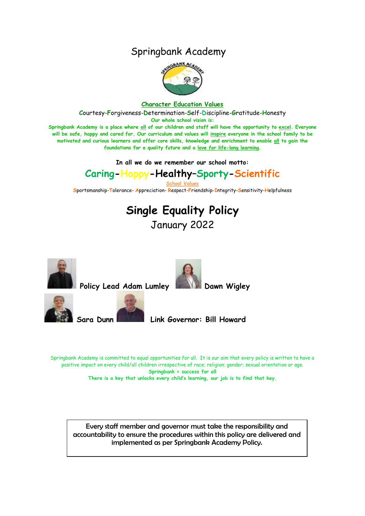## Springbank Academy



#### **Character Education Values**

**C**ourtesy-**F**orgiveness-**D**etermination-**S**elf-**D**iscipline-**G**ratitude-**H**onesty

**Our whole school vision is:**

**Springbank Academy is a place where all of our children and staff will have the opportunity to excel. Everyone will be safe, happy and cared for. Our curriculum and values will inspire everyone in the school family to be motivated and curious learners and offer core skills, knowledge and enrichment to enable all to gain the foundations for a quality future and a love for life-long learning.**

**In all we do we remember our school motto:**

# **Caring-Happy-Healthy–Sporty-Scientific**

**School Values**

**S**portsmanship-**T**olerance- **A**ppreciation- **R**espect-**F**riendship-**I**ntegrity-**S**ensitivity-**H**elpfulness

# **Single Equality Policy** January 2022



Policy Lead Adam Lumley **Dawn Wigley** 







**Sara Dunn Link Governor: Bill Howard**

Springbank Academy is committed to equal opportunities for all. It is our aim that every policy is written to have a positive impact on every child/all children irrespective of race; religion; gender; sexual orientation or age. **Springbank = success for all**

**There is a key that unlocks every child's learning, our job is to find that key.**

Every staff member and governor must take the responsibility and accountability to ensure the procedures within this policy are delivered and implemented as per Springbank Academy Policy.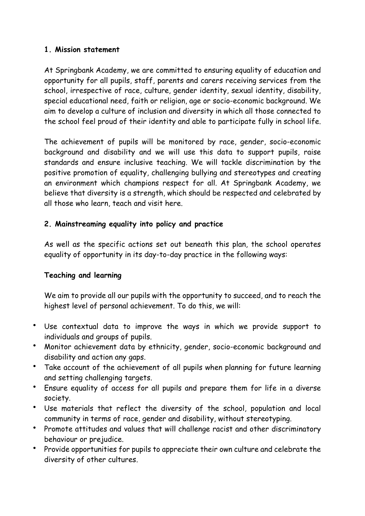### **1. Mission statement**

At Springbank Academy, we are committed to ensuring equality of education and opportunity for all pupils, staff, parents and carers receiving services from the school, irrespective of race, culture, gender identity, sexual identity, disability, special educational need, faith or religion, age or socio-economic background. We aim to develop a culture of inclusion and diversity in which all those connected to the school feel proud of their identity and able to participate fully in school life.

The achievement of pupils will be monitored by race, gender, socio-economic background and disability and we will use this data to support pupils, raise standards and ensure inclusive teaching. We will tackle discrimination by the positive promotion of equality, challenging bullying and stereotypes and creating an environment which champions respect for all. At Springbank Academy, we believe that diversity is a strength, which should be respected and celebrated by all those who learn, teach and visit here.

## **2. Mainstreaming equality into policy and practice**

As well as the specific actions set out beneath this plan, the school operates equality of opportunity in its day-to-day practice in the following ways:

## **Teaching and learning**

We aim to provide all our pupils with the opportunity to succeed, and to reach the highest level of personal achievement. To do this, we will:

- Use contextual data to improve the ways in which we provide support to individuals and groups of pupils.
- Monitor achievement data by ethnicity, gender, socio-economic background and disability and action any gaps.
- Take account of the achievement of all pupils when planning for future learning and setting challenging targets.
- Ensure equality of access for all pupils and prepare them for life in a diverse society.
- Use materials that reflect the diversity of the school, population and local community in terms of race, gender and disability, without stereotyping.
- Promote attitudes and values that will challenge racist and other discriminatory behaviour or prejudice.
- Provide opportunities for pupils to appreciate their own culture and celebrate the diversity of other cultures.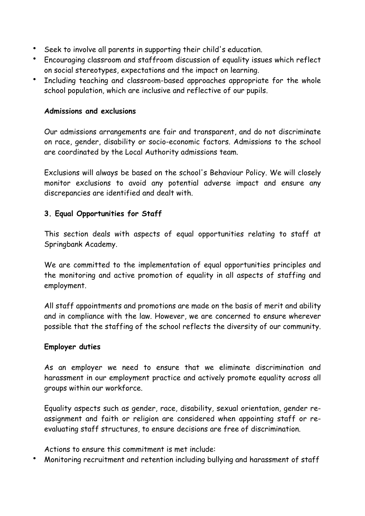- Seek to involve all parents in supporting their child's education.
- Encouraging classroom and staffroom discussion of equality issues which reflect on social stereotypes, expectations and the impact on learning.
- Including teaching and classroom-based approaches appropriate for the whole school population, which are inclusive and reflective of our pupils.

### **Admissions and exclusions**

Our admissions arrangements are fair and transparent, and do not discriminate on race, gender, disability or socio-economic factors. Admissions to the school are coordinated by the Local Authority admissions team.

Exclusions will always be based on the school's Behaviour Policy. We will closely monitor exclusions to avoid any potential adverse impact and ensure any discrepancies are identified and dealt with.

## **3. Equal Opportunities for Staff**

This section deals with aspects of equal opportunities relating to staff at Springbank Academy.

We are committed to the implementation of equal opportunities principles and the monitoring and active promotion of equality in all aspects of staffing and employment.

All staff appointments and promotions are made on the basis of merit and ability and in compliance with the law. However, we are concerned to ensure wherever possible that the staffing of the school reflects the diversity of our community.

### **Employer duties**

As an employer we need to ensure that we eliminate discrimination and harassment in our employment practice and actively promote equality across all groups within our workforce.

Equality aspects such as gender, race, disability, sexual orientation, gender reassignment and faith or religion are considered when appointing staff or reevaluating staff structures, to ensure decisions are free of discrimination.

Actions to ensure this commitment is met include:

Monitoring recruitment and retention including bullying and harassment of staff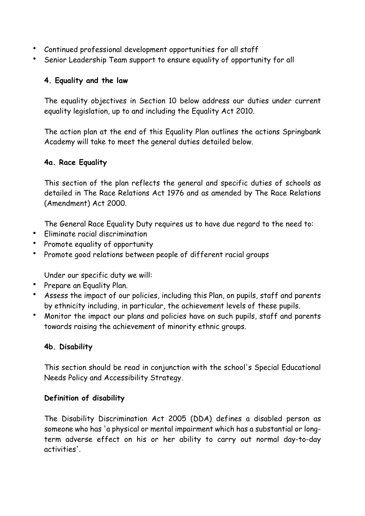- Continued professional development opportunities for all staff
- Senior Leadership Team support to ensure equality of opportunity for all

## **4. Equality and the law**

The equality objectives in Section 10 below address our duties under current equality legislation, up to and including the Equality Act 2010.

The action plan at the end of this Equality Plan outlines the actions Springbank Academy will take to meet the general duties detailed below.

## **4a. Race Equality**

This section of the plan reflects the general and specific duties of schools as detailed in The Race Relations Act 1976 and as amended by The Race Relations (Amendment) Act 2000.

The General Race Equality Duty requires us to have due regard to the need to:

- Fliminate racial discrimination
- Promote equality of opportunity
- Promote good relations between people of different racial groups

Under our specific duty we will:

- Prepare an Equality Plan.
- Assess the impact of our policies, including this Plan, on pupils, staff and parents by ethnicity including, in particular, the achievement levels of these pupils.
- Monitor the impact our plans and policies have on such pupils, staff and parents towards raising the achievement of minority ethnic groups.

## **4b. Disability**

This section should be read in conjunction with the school's Special Educational Needs Policy and Accessibility Strategy.

## **Definition of disability**

The Disability Discrimination Act 2005 (DDA) defines a disabled person as someone who has 'a physical or mental impairment which has a substantial or longterm adverse effect on his or her ability to carry out normal day-to-day activities'.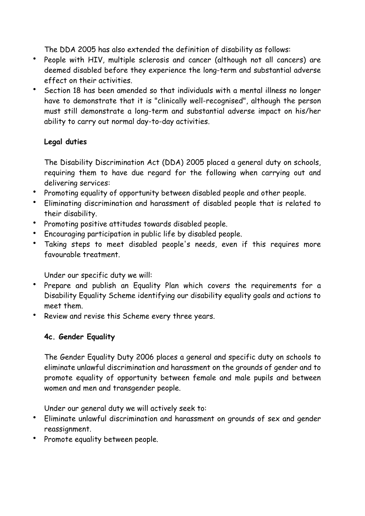The DDA 2005 has also extended the definition of disability as follows:

- People with HIV, multiple sclerosis and cancer (although not all cancers) are deemed disabled before they experience the long-term and substantial adverse effect on their activities.
- Section 18 has been amended so that individuals with a mental illness no longer have to demonstrate that it is "clinically well-recognised", although the person must still demonstrate a long-term and substantial adverse impact on his/her ability to carry out normal day-to-day activities.

## **Legal duties**

The Disability Discrimination Act (DDA) 2005 placed a general duty on schools, requiring them to have due regard for the following when carrying out and delivering services:

- Promoting equality of opportunity between disabled people and other people.
- Eliminating discrimination and harassment of disabled people that is related to their disability.
- Promoting positive attitudes towards disabled people.
- Encouraging participation in public life by disabled people.
- Taking steps to meet disabled people's needs, even if this requires more favourable treatment.

Under our specific duty we will:

- Prepare and publish an Equality Plan which covers the requirements for a Disability Equality Scheme identifying our disability equality goals and actions to meet them.
- Review and revise this Scheme every three years.

## **4c. Gender Equality**

The Gender Equality Duty 2006 places a general and specific duty on schools to eliminate unlawful discrimination and harassment on the grounds of gender and to promote equality of opportunity between female and male pupils and between women and men and transgender people.

Under our general duty we will actively seek to:

- Eliminate unlawful discrimination and harassment on grounds of sex and gender reassignment.
- Promote equality between people.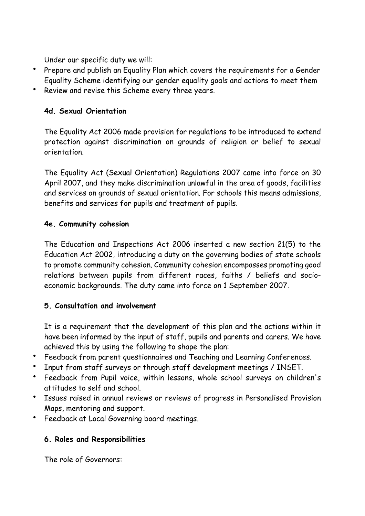Under our specific duty we will:

- Prepare and publish an Equality Plan which covers the requirements for a Gender Equality Scheme identifying our gender equality goals and actions to meet them
- Review and revise this Scheme every three years.

## **4d. Sexual Orientation**

The Equality Act 2006 made provision for regulations to be introduced to extend protection against discrimination on grounds of religion or belief to sexual orientation.

The Equality Act (Sexual Orientation) Regulations 2007 came into force on 30 April 2007, and they make discrimination unlawful in the area of goods, facilities and services on grounds of sexual orientation. For schools this means admissions, benefits and services for pupils and treatment of pupils.

## **4e. Community cohesion**

The Education and Inspections Act 2006 inserted a new section 21(5) to the Education Act 2002, introducing a duty on the governing bodies of state schools to promote community cohesion. Community cohesion encompasses promoting good relations between pupils from different races, faiths / beliefs and socioeconomic backgrounds. The duty came into force on 1 September 2007.

## **5. Consultation and involvement**

It is a requirement that the development of this plan and the actions within it have been informed by the input of staff, pupils and parents and carers. We have achieved this by using the following to shape the plan:

- Feedback from parent questionnaires and Teaching and Learning Conferences.
- Input from staff surveys or through staff development meetings / INSET.
- Feedback from Pupil voice, within lessons, whole school surveys on children's attitudes to self and school.
- Issues raised in annual reviews or reviews of progress in Personalised Provision Maps, mentoring and support.
- Feedback at Local Governing board meetings.

## **6. Roles and Responsibilities**

The role of Governors: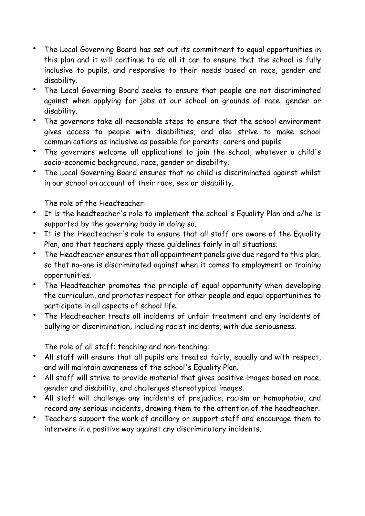- The Local Governing Board has set out its commitment to equal opportunities in this plan and it will continue to do all it can to ensure that the school is fully inclusive to pupils, and responsive to their needs based on race, gender and disability.
- The Local Governing Board seeks to ensure that people are not discriminated against when applying for jobs at our school on grounds of race, gender or disability.
- The governors take all reasonable steps to ensure that the school environment gives access to people with disabilities, and also strive to make school communications as inclusive as possible for parents, carers and pupils.
- The governors welcome all applications to join the school, whatever a child's socio-economic background, race, gender or disability.
- The Local Governing Board ensures that no child is discriminated against whilst in our school on account of their race, sex or disability.

The role of the Headteacher:

- It is the headteacher's role to implement the school's Equality Plan and s/he is supported by the governing body in doing so.
- It is the Headteacher's role to ensure that all staff are aware of the Equality Plan, and that teachers apply these guidelines fairly in all situations.
- The Headteacher ensures that all appointment panels give due regard to this plan, so that no-one is discriminated against when it comes to employment or training opportunities.
- The Headteacher promotes the principle of equal opportunity when developing the curriculum, and promotes respect for other people and equal opportunities to participate in all aspects of school life.
- The Headteacher treats all incidents of unfair treatment and any incidents of bullying or discrimination, including racist incidents, with due seriousness.

The role of all staff: teaching and non-teaching:

- All staff will ensure that all pupils are treated fairly, equally and with respect, and will maintain awareness of the school's Equality Plan.
- All staff will strive to provide material that gives positive images based on race, gender and disability, and challenges stereotypical images.
- All staff will challenge any incidents of prejudice, racism or homophobia, and record any serious incidents, drawing them to the attention of the headteacher.
- Teachers support the work of ancillary or support staff and encourage them to intervene in a positive way against any discriminatory incidents.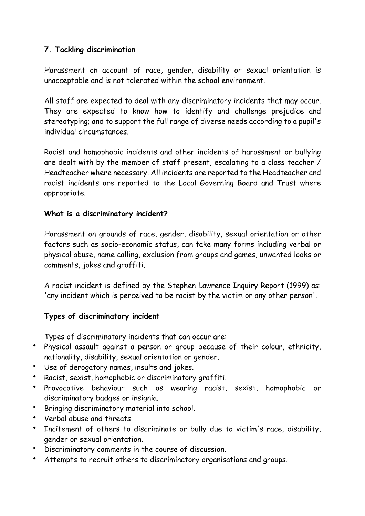## **7. Tackling discrimination**

Harassment on account of race, gender, disability or sexual orientation is unacceptable and is not tolerated within the school environment.

All staff are expected to deal with any discriminatory incidents that may occur. They are expected to know how to identify and challenge prejudice and stereotyping; and to support the full range of diverse needs according to a pupil's individual circumstances.

Racist and homophobic incidents and other incidents of harassment or bullying are dealt with by the member of staff present, escalating to a class teacher / Headteacher where necessary. All incidents are reported to the Headteacher and racist incidents are reported to the Local Governing Board and Trust where appropriate.

## **What is a discriminatory incident?**

Harassment on grounds of race, gender, disability, sexual orientation or other factors such as socio-economic status, can take many forms including verbal or physical abuse, name calling, exclusion from groups and games, unwanted looks or comments, jokes and graffiti.

A racist incident is defined by the Stephen Lawrence Inquiry Report (1999) as: 'any incident which is perceived to be racist by the victim or any other person'.

## **Types of discriminatory incident**

Types of discriminatory incidents that can occur are:

- Physical assault against a person or group because of their colour, ethnicity, nationality, disability, sexual orientation or gender.
- Use of derogatory names, insults and jokes.
- Racist, sexist, homophobic or discriminatory graffiti.
- Provocative behaviour such as wearing racist, sexist, homophobic or discriminatory badges or insignia.
- Bringing discriminatory material into school.
- Verbal abuse and threats.
- Incitement of others to discriminate or bully due to victim's race, disability, gender or sexual orientation.
- Discriminatory comments in the course of discussion.
- Attempts to recruit others to discriminatory organisations and groups.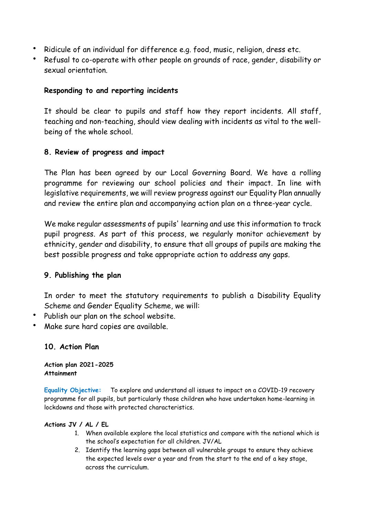- Ridicule of an individual for difference e.g. food, music, religion, dress etc.
- Refusal to co-operate with other people on grounds of race, gender, disability or sexual orientation.

### **Responding to and reporting incidents**

It should be clear to pupils and staff how they report incidents. All staff, teaching and non-teaching, should view dealing with incidents as vital to the wellbeing of the whole school.

## **8. Review of progress and impact**

The Plan has been agreed by our Local Governing Board. We have a rolling programme for reviewing our school policies and their impact. In line with legislative requirements, we will review progress against our Equality Plan annually and review the entire plan and accompanying action plan on a three-year cycle.

We make regular assessments of pupils' learning and use this information to track pupil progress. As part of this process, we regularly monitor achievement by ethnicity, gender and disability, to ensure that all groups of pupils are making the best possible progress and take appropriate action to address any gaps.

## **9. Publishing the plan**

In order to meet the statutory requirements to publish a Disability Equality Scheme and Gender Equality Scheme, we will:

- Publish our plan on the school website.
- Make sure hard copies are available.

## **10. Action Plan**

**Action plan 2021-2025 Attainment**

**Equality Objective:** To explore and understand all issues to impact on a COVID-19 recovery programme for all pupils, but particularly those children who have undertaken home-learning in lockdowns and those with protected characteristics.

### **Actions JV / AL / EL**

- 1. When available explore the local statistics and compare with the national which is the school's expectation for all children. JV/AL
- 2. Identify the learning gaps between all vulnerable groups to ensure they achieve the expected levels over a year and from the start to the end of a key stage, across the curriculum.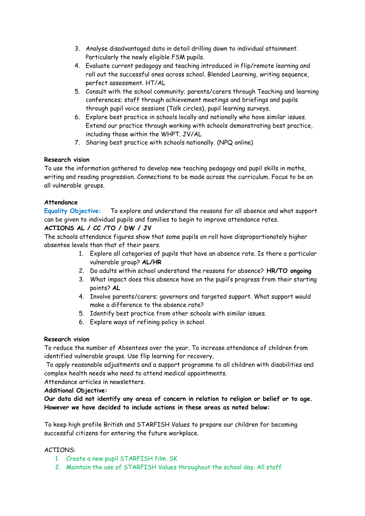- 3. Analyse disadvantaged data in detail drilling down to individual attainment. Particularly the newly eligible FSM pupils.
- 4. Evaluate current pedagogy and teaching introduced in flip/remote learning and roll out the successful ones across school. Blended Learning, writing sequence, perfect assessment. HT/AL
- 5. Consult with the school community; parents/carers through Teaching and learning conferences; staff through achievement meetings and briefings and pupils through pupil voice sessions (Talk circles), pupil learning surveys.
- 6. Explore best practice in schools locally and nationally who have similar issues. Extend our practice through working with schools demonstrating best practice, including those within the WHPT. JV/AL
- 7. Sharing best practice with schools nationally. (NPQ online)

### **Research vision**

To use the information gathered to develop new teaching pedagogy and pupil skills in maths, writing and reading progression. Connections to be made across the curriculum. Focus to be on all vulnerable groups.

### **Attendance**

**Equality Objective:** To explore and understand the reasons for all absence and what support can be given to individual pupils and families to begin to improve attendance rates.

### **ACTIONS AL / CC /TO / DW / JV**

The schools attendance figures show that some pupils on roll have disproportionately higher absentee levels than that of their peers.

- 1. Explore all categories of pupils that have an absence rate. Is there a particular vulnerable group? **AL/HR**
- 2. Do adults within school understand the reasons for absence? **HR/TO ongoing**
- 3. What impact does this absence have on the pupil's progress from their starting points? **AL**
- 4. Involve parents/carers; governors and targeted support. What support would make a difference to the absence rate?
- 5. Identify best practice from other schools with similar issues.
- 6. Explore ways of refining policy in school.

#### **Research vision**

To reduce the number of Absentees over the year. To increase attendance of children from identified vulnerable groups. Use flip learning for recovery.

To apply reasonable adjustments and a support programme to all children with disabilities and complex health needs who need to attend medical appointments.

Attendance articles in newsletters.

#### **Additional Objective:**

**Our data did not identify any areas of concern in relation to religion or belief or to age. However we have decided to include actions in these areas as noted below:**

To keep high profile British and STARFISH Values to prepare our children for becoming successful citizens for entering the future workplace.

#### ACTIONS:

- 1. Create a new pupil STARFISH film. SK
- 2. Maintain the use of STARFISH Values throughout the school day. All staff